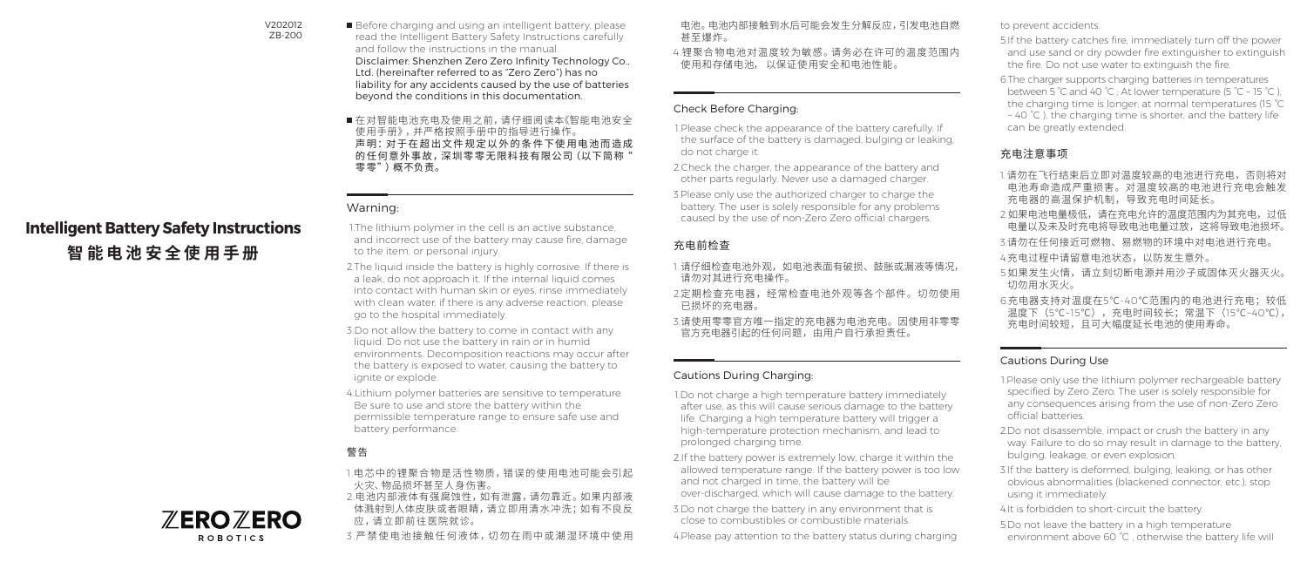#### V202012 ZB-200

Before charging and using an intelligent battery, please read the Intelligent Battery Safety Instructions carefully and follow the instructions in the manual. Disclaimer: Shenzhen Zero Zero Infinity Technology Co., Ltd. (hereinafter referred to as "Zero Zero") has no liability for any accidents caused by the use of batteries beyond the conditions in this documentation.

在对智能电池充电及使用之前,请仔细阅读本《智能电池安全 使用手册》,并严格按照手册中的指导进行操作。 声明:对于在超出文件规定以 外的条件下使 用电池而造成 的任何意外事故,深圳零零无限科技有限公司(以下简称" 零零")概不负责。

## Warning:

1.The lithium polymer in the cell is an active substance and incorrect use of the battery may cause fire, damage to the item, or personal injury.

- 2.The liquid inside the battery is highly corrosive. If there is a leak, do not approach it. If the internal liquid comes into contact with human skin or eyes, rinse immediately with clean water; if there is any adverse reaction, please go to the hospital immediately.
- 3.Do not allow the battery to come in contact with any liquid. Do not use the battery in rain or in humid environments. Decomposition reactions may occur after the battery is exposed to water, causing the battery to ignite or explode.
- 4.Lithium polymer batteries are sensitive to temperature. Be sure to use and store the battery within the permissible temperature range to ensure safe use and battery performance.

# 警告

- 1.电 芯中的锂 聚合 物是活 性物质,错 误的 使 用电池可能 会引起 火灾、物品损坏甚至人身伤害。
- 2.电池内部液体有强腐蚀性,如有泄露,请勿靠近。如果内部液 体溅射到人体皮肤或者眼睛,请立即用清水冲洗;如有不良反 应,请立 即前 往医院就诊。
- 3.严禁使电池接触任何液体,切勿在雨中或潮湿环境中使用

电池。电池内部接触到水后可能会发生分解反应,引发电池自燃 甚至爆炸。

4.锂 聚合 物电池对温 度较为敏 感。请务必在许可的温 度范围内 使用和存储电池, 以保证使用安全和电池性能。

## Check Before Charging:

1.Please check the appearance of the battery carefully. If the surface of the battery is damaged, bulging or leaking, do not charge it.

2.Check the charger, the appearance of the battery and other parts regularly. Never use a damaged charger.

3.Please only use the authorized charger to charge the battery. The user is solely responsible for any problems caused by the use of non-Zero Zero official chargers.

## 充电前检查

- 1.请仔细检查电池外观,如电池表面有破损、鼓胀或漏液等情况, 请勿对其进行充电操作。
- 2.定期检查充电器,经常检查电池外观等各个部件。切勿使用 已损坏的充电器。
- 3.请使用零零官方唯一指定的充电器为电池充电。因使用非零零 官方充电器引起的任何问题,由用户自行承担责任。

### Cautions During Charging:

1.Do not charge a high temperature battery immediately after use, as this will cause serious damage to the battery life. Charging a high temperature battery will trigger a high-temperature protection mechanism, and lead to prolonged charging time.

2.If the battery power is extremely low, charge it within the allowed temperature range. If the battery power is too low and not charged in time, the battery will be over-discharged, which will cause damage to the battery.

3.Do not charge the battery in any environment that is close to combustibles or combustible materials.

4.Please pay attention to the battery status during charging

#### to prevent accidents.

- 5.If the battery catches fire, immediately turn off the power and use sand or dry powder fire extinguisher to extinguish the fire. Do not use water to extinguish the fire.
- 6.The charger supports charging batteries in temperatures between 5 °C and 40 °C ; At lower temperature (5 °C ~ 15 °C ), the charging time is longer; at normal temperatures (15 °C ~ 40 °C ), the charging time is shorter, and the battery life can be greatly extended.

## 充电注意事项

- 1. 请勿在飞行结束后立即对温度较高的电池进行充电,否则将对 电池寿命造成严重损害。对温度较高的电池进行充电会触发 充电器的高温保护机制,导致充电时间延长。
- 2.如果电池电量极低,请在充电允许的温度范围内为其充电,过低 电量以及未及时充电将导致电池电量过放,这将导致电池损坏。
- 3.请勿在任何接近可燃物、易燃物的环境中对电池进行充电。
- 4.充电过程中请留意电池状态,以防发生意外。
- 5.如果发生火情,请立刻切断电源并用沙子或固体灭火器灭火。 切勿用水灭火。
- 6.充电器支持对温度在5℃-40℃范围内的电池进行充电;较低 温度下(5℃~15℃),充电时间较长;常温下(15℃~40℃), 充电时间较短,且可大幅度延长电池的使用寿命。

## Cautions During Use

- 1.Please only use the lithium polymer rechargeable battery specified by Zero Zero. The user is solely responsible for any consequences arising from the use of non-Zero Zero official batteries.
- 2.Do not disassemble, impact or crush the battery in any way. Failure to do so may result in damage to the battery, bulging, leakage, or even explosion.
- 3.If the battery is deformed, bulging, leaking, or has other obvious abnormalities (blackened connector, etc.), stop using it immediately.
- 4.It is forbidden to short-circuit the battery.
- 5.Do not leave the battery in a high temperature environment above 60 °C, otherwise the battery life will



**ROBOTICS** 

**Intelligent Battery Safety Instructions 智能电池安全使用手册**